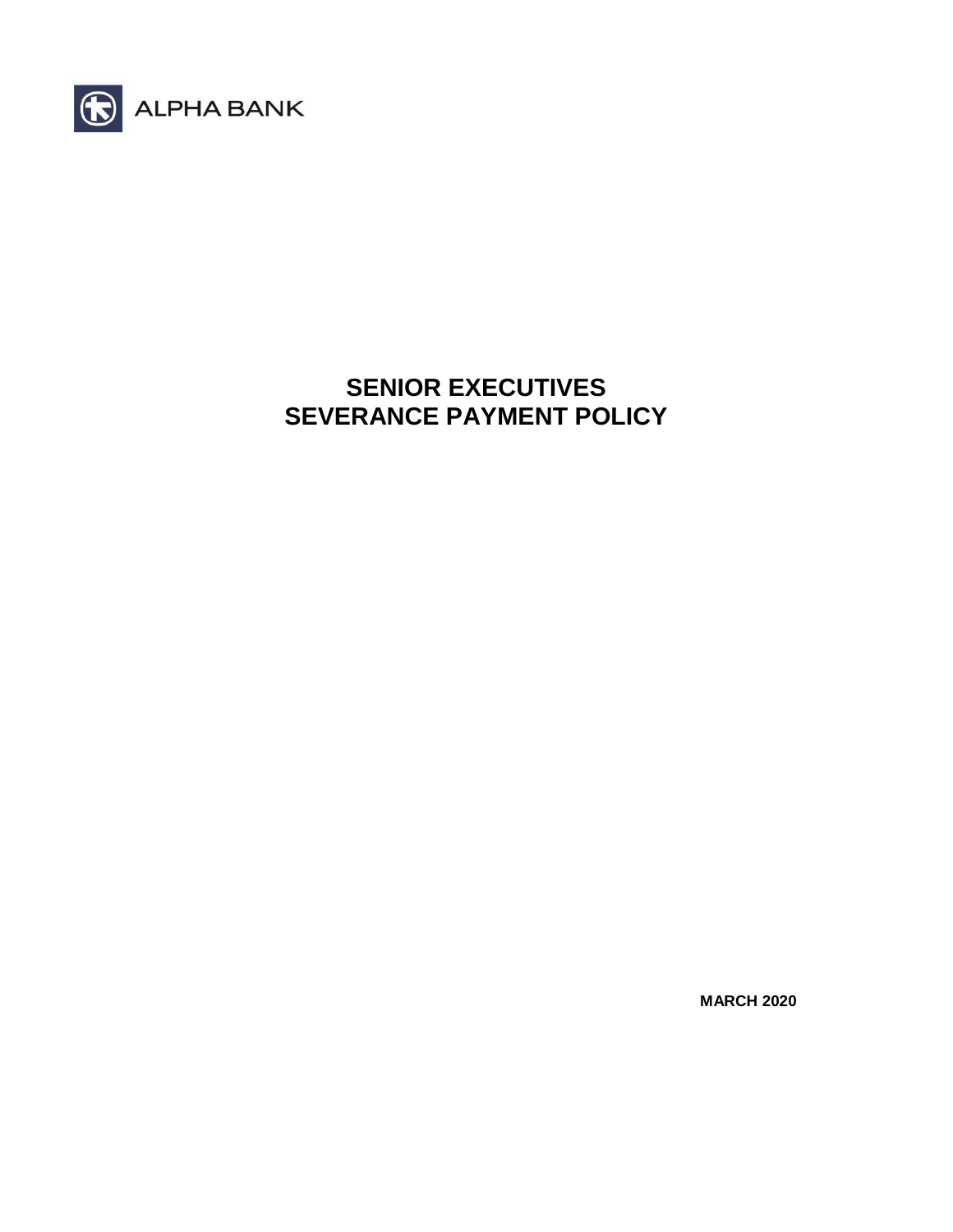

# **SENIOR EXECUTIVES SEVERANCE PAYMENT POLICY**

**MARCH 2020**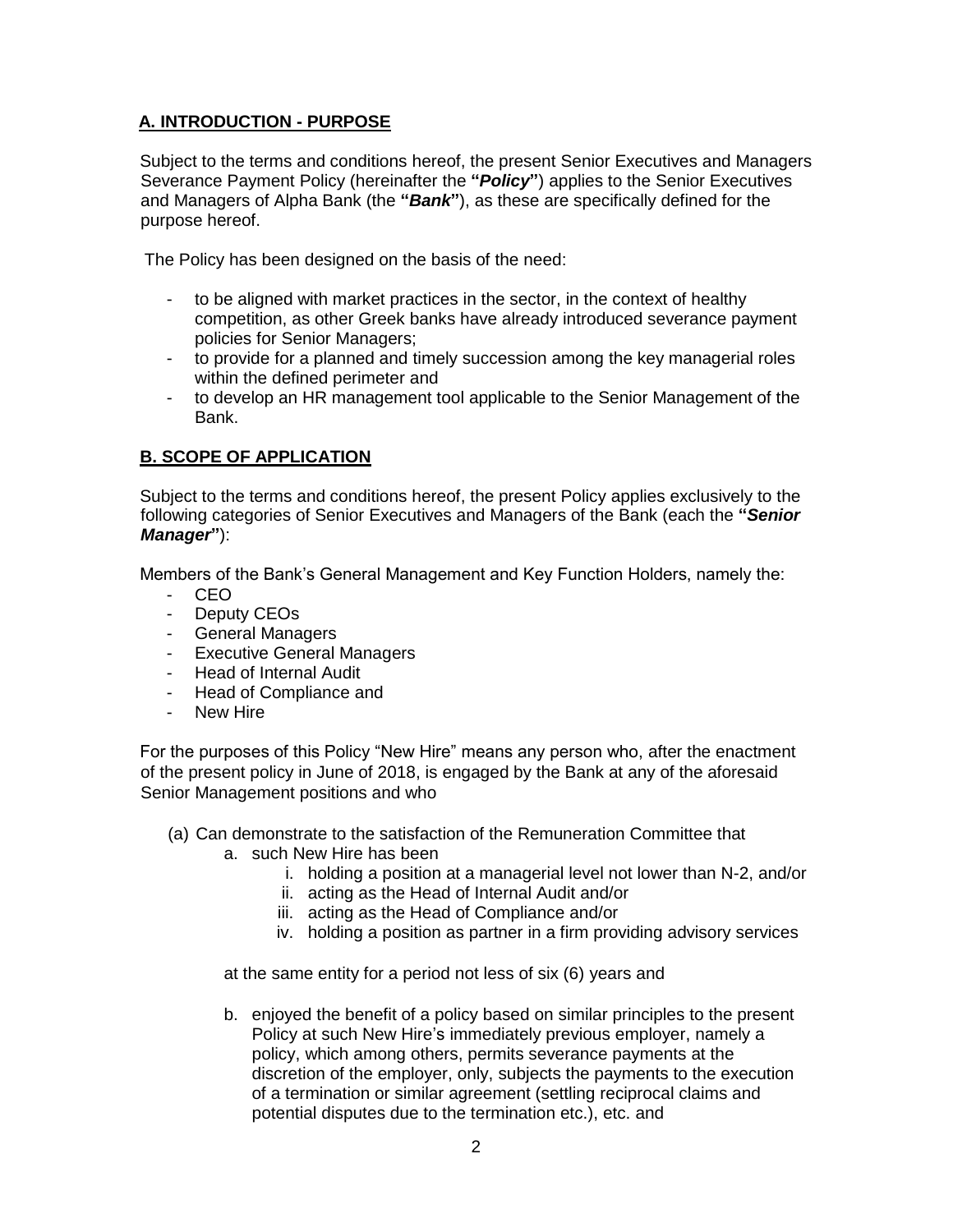## **A. INTRODUCTION - PURPOSE**

Subject to the terms and conditions hereof, the present Senior Executives and Managers Severance Payment Policy (hereinafter the **"***Policy***"**) applies to the Senior Executives and Managers of Alpha Bank (the **"***Bank***"**), as these are specifically defined for the purpose hereof.

The Policy has been designed on the basis of the need:

- to be aligned with market practices in the sector, in the context of healthy competition, as other Greek banks have already introduced severance payment policies for Senior Managers;
- to provide for a planned and timely succession among the key managerial roles within the defined perimeter and
- to develop an HR management tool applicable to the Senior Management of the Bank.

## **B. SCOPE OF APPLICATION**

Subject to the terms and conditions hereof, the present Policy applies exclusively to the following categories of Senior Executives and Managers of the Bank (each the **"***Senior Manager***"**):

Members of the Bank's General Management and Key Function Holders, namely the:

- CEO
- Deputy CEOs
- General Managers
- Executive General Managers
- Head of Internal Audit
- Head of Compliance and
- New Hire

For the purposes of this Policy "New Hire" means any person who, after the enactment of the present policy in June of 2018, is engaged by the Bank at any of the aforesaid Senior Management positions and who

- (a) Can demonstrate to the satisfaction of the Remuneration Committee that
	- a. such New Hire has been
		- i. holding a position at a managerial level not lower than N-2, and/or
		- ii. acting as the Head of Internal Audit and/or
		- iii. acting as the Head of Compliance and/or
		- iv. holding a position as partner in a firm providing advisory services

at the same entity for a period not less of six (6) years and

b. enjoyed the benefit of a policy based on similar principles to the present Policy at such New Hire's immediately previous employer, namely a policy, which among others, permits severance payments at the discretion of the employer, only, subjects the payments to the execution of a termination or similar agreement (settling reciprocal claims and potential disputes due to the termination etc.), etc. and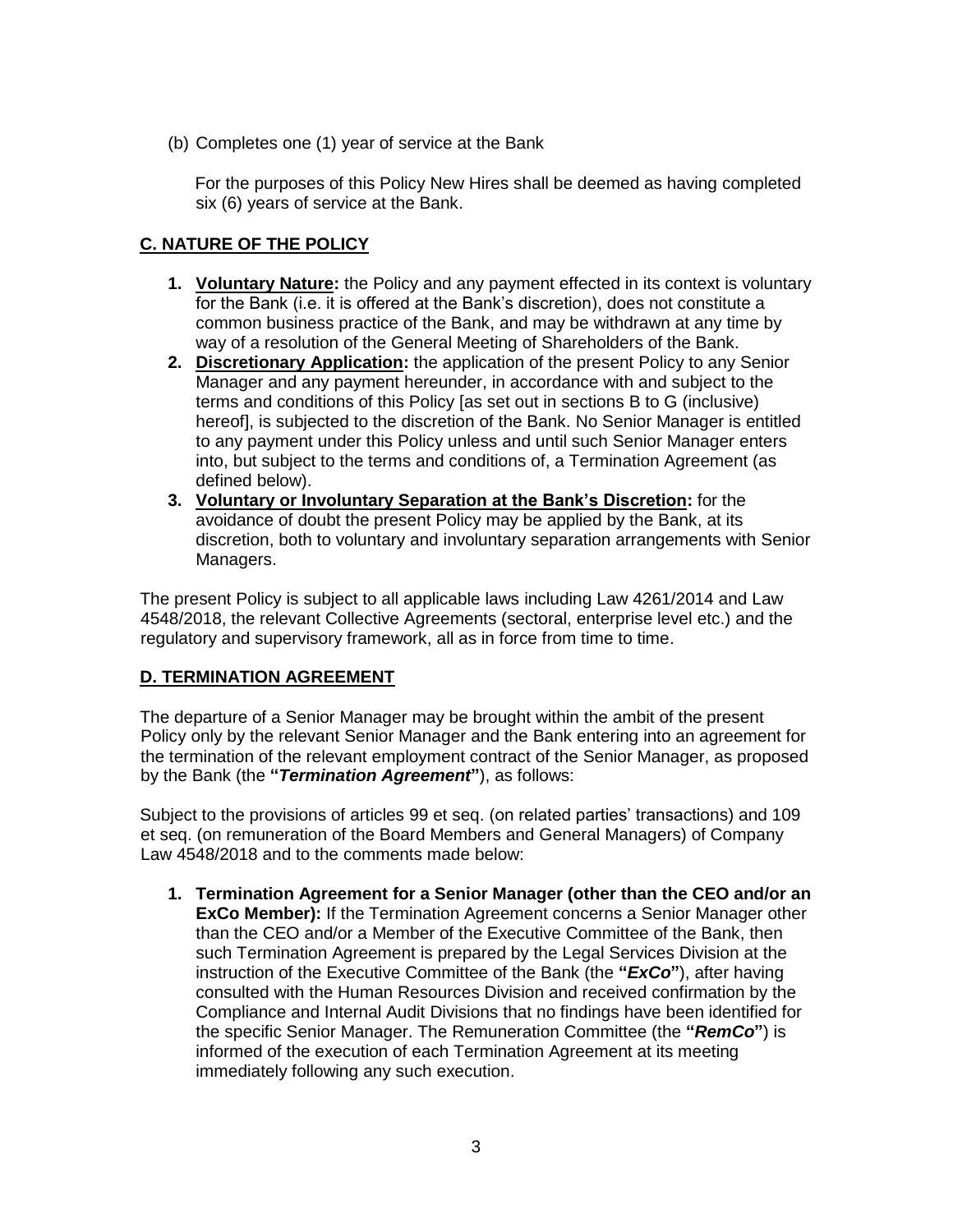(b) Completes one (1) year of service at the Bank

For the purposes of this Policy New Hires shall be deemed as having completed six (6) years of service at the Bank.

### **C. NATURE OF THE POLICY**

- **1. Voluntary Nature:** the Policy and any payment effected in its context is voluntary for the Bank (i.e. it is offered at the Bank's discretion), does not constitute a common business practice of the Bank, and may be withdrawn at any time by way of a resolution of the General Meeting of Shareholders of the Bank.
- **2. Discretionary Application:** the application of the present Policy to any Senior Manager and any payment hereunder, in accordance with and subject to the terms and conditions of this Policy [as set out in sections B to G (inclusive) hereof], is subjected to the discretion of the Bank. No Senior Manager is entitled to any payment under this Policy unless and until such Senior Manager enters into, but subject to the terms and conditions of, a Termination Agreement (as defined below).
- **3. Voluntary or Involuntary Separation at the Bank's Discretion:** for the avoidance of doubt the present Policy may be applied by the Bank, at its discretion, both to voluntary and involuntary separation arrangements with Senior Managers.

The present Policy is subject to all applicable laws including Law 4261/2014 and Law 4548/2018, the relevant Collective Agreements (sectoral, enterprise level etc.) and the regulatory and supervisory framework, all as in force from time to time.

#### **D. TERMINATION AGREEMENT**

The departure of a Senior Manager may be brought within the ambit of the present Policy only by the relevant Senior Manager and the Bank entering into an agreement for the termination of the relevant employment contract of the Senior Manager, as proposed by the Bank (the **"***Termination Agreement***"**), as follows:

Subject to the provisions of articles 99 et seq. (on related parties' transactions) and 109 et seq. (on remuneration of the Board Members and General Managers) of Company Law 4548/2018 and to the comments made below:

**1. Termination Agreement for a Senior Manager (other than the CEO and/or an ExCo Member):** If the Termination Agreement concerns a Senior Manager other than the CEO and/or a Member of the Executive Committee of the Bank, then such Termination Agreement is prepared by the Legal Services Division at the instruction of the Executive Committee of the Bank (the **"***ExCo***"**), after having consulted with the Human Resources Division and received confirmation by the Compliance and Internal Audit Divisions that no findings have been identified for the specific Senior Manager. The Remuneration Committee (the **"***RemCo***"**) is informed of the execution of each Termination Agreement at its meeting immediately following any such execution.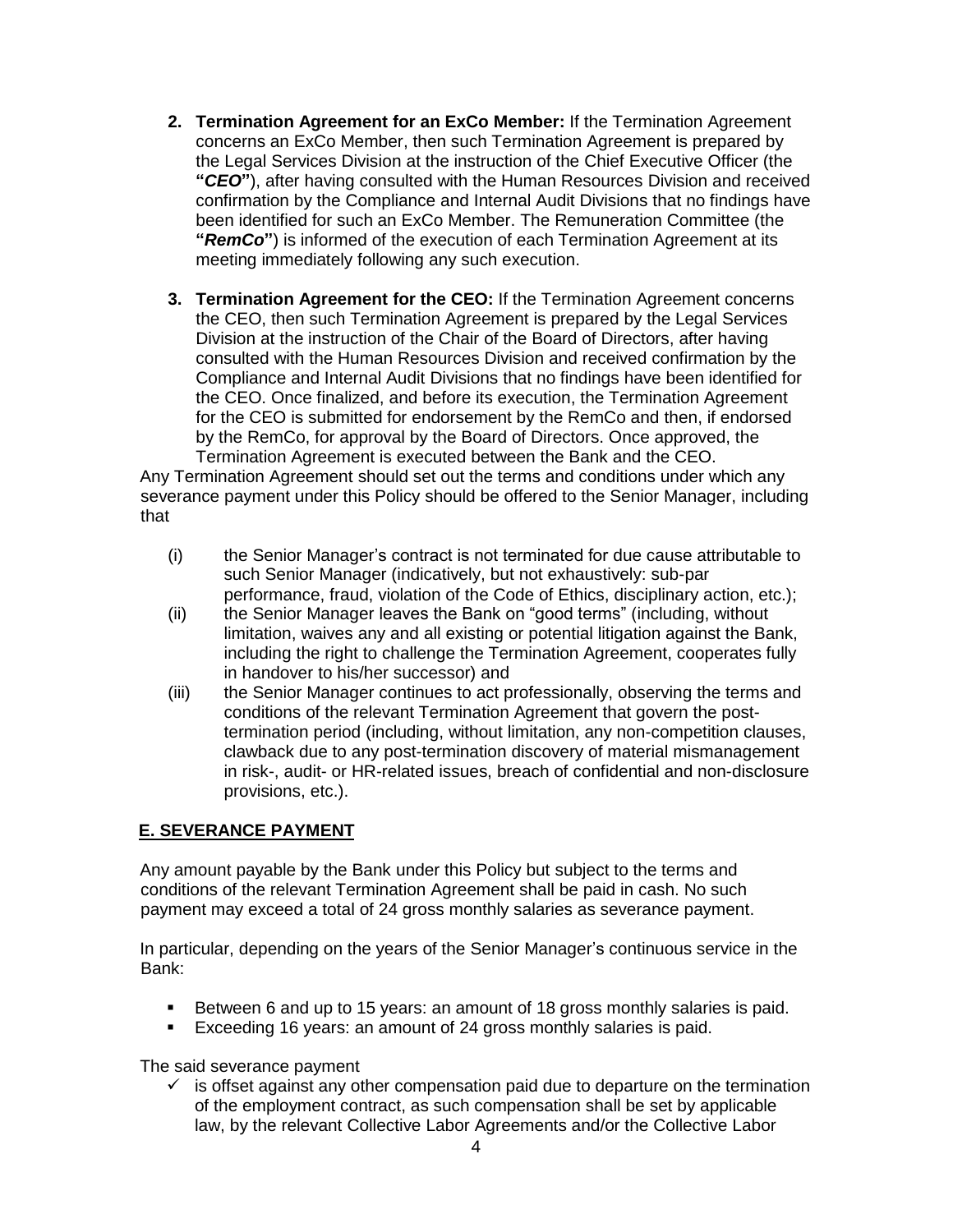- **2. Termination Agreement for an ExCo Member:** If the Termination Agreement concerns an ExCo Member, then such Termination Agreement is prepared by the Legal Services Division at the instruction of the Chief Executive Officer (the **"***CEO***"**), after having consulted with the Human Resources Division and received confirmation by the Compliance and Internal Audit Divisions that no findings have been identified for such an ExCo Member. The Remuneration Committee (the **"***RemCo***"**) is informed of the execution of each Termination Agreement at its meeting immediately following any such execution.
- **3. Termination Agreement for the CEO:** If the Termination Agreement concerns the CEO, then such Termination Agreement is prepared by the Legal Services Division at the instruction of the Chair of the Board of Directors, after having consulted with the Human Resources Division and received confirmation by the Compliance and Internal Audit Divisions that no findings have been identified for the CEO. Once finalized, and before its execution, the Termination Agreement for the CEO is submitted for endorsement by the RemCo and then, if endorsed by the RemCo, for approval by the Board of Directors. Once approved, the Termination Agreement is executed between the Bank and the CEO.

Any Termination Agreement should set out the terms and conditions under which any severance payment under this Policy should be offered to the Senior Manager, including that

- (i) the Senior Manager's contract is not terminated for due cause attributable to such Senior Manager (indicatively, but not exhaustively: sub-par performance, fraud, violation of the Code of Ethics, disciplinary action, etc.);
- (ii) the Senior Manager leaves the Bank on "good terms" (including, without limitation, waives any and all existing or potential litigation against the Bank, including the right to challenge the Termination Agreement, cooperates fully in handover to his/her successor) and
- (iii) the Senior Manager continues to act professionally, observing the terms and conditions of the relevant Termination Agreement that govern the posttermination period (including, without limitation, any non-competition clauses, clawback due to any post-termination discovery of material mismanagement in risk-, audit- or HR-related issues, breach of confidential and non-disclosure provisions, etc.).

## **E. SEVERANCE PAYMENT**

Any amount payable by the Bank under this Policy but subject to the terms and conditions of the relevant Termination Agreement shall be paid in cash. No such payment may exceed a total of 24 gross monthly salaries as severance payment.

In particular, depending on the years of the Senior Manager's continuous service in the Bank:

- Between 6 and up to 15 years: an amount of 18 gross monthly salaries is paid.
- **Exceeding 16 years: an amount of 24 gross monthly salaries is paid.**

The said severance payment

 $\checkmark$  is offset against any other compensation paid due to departure on the termination of the employment contract, as such compensation shall be set by applicable law, by the relevant Collective Labor Agreements and/or the Collective Labor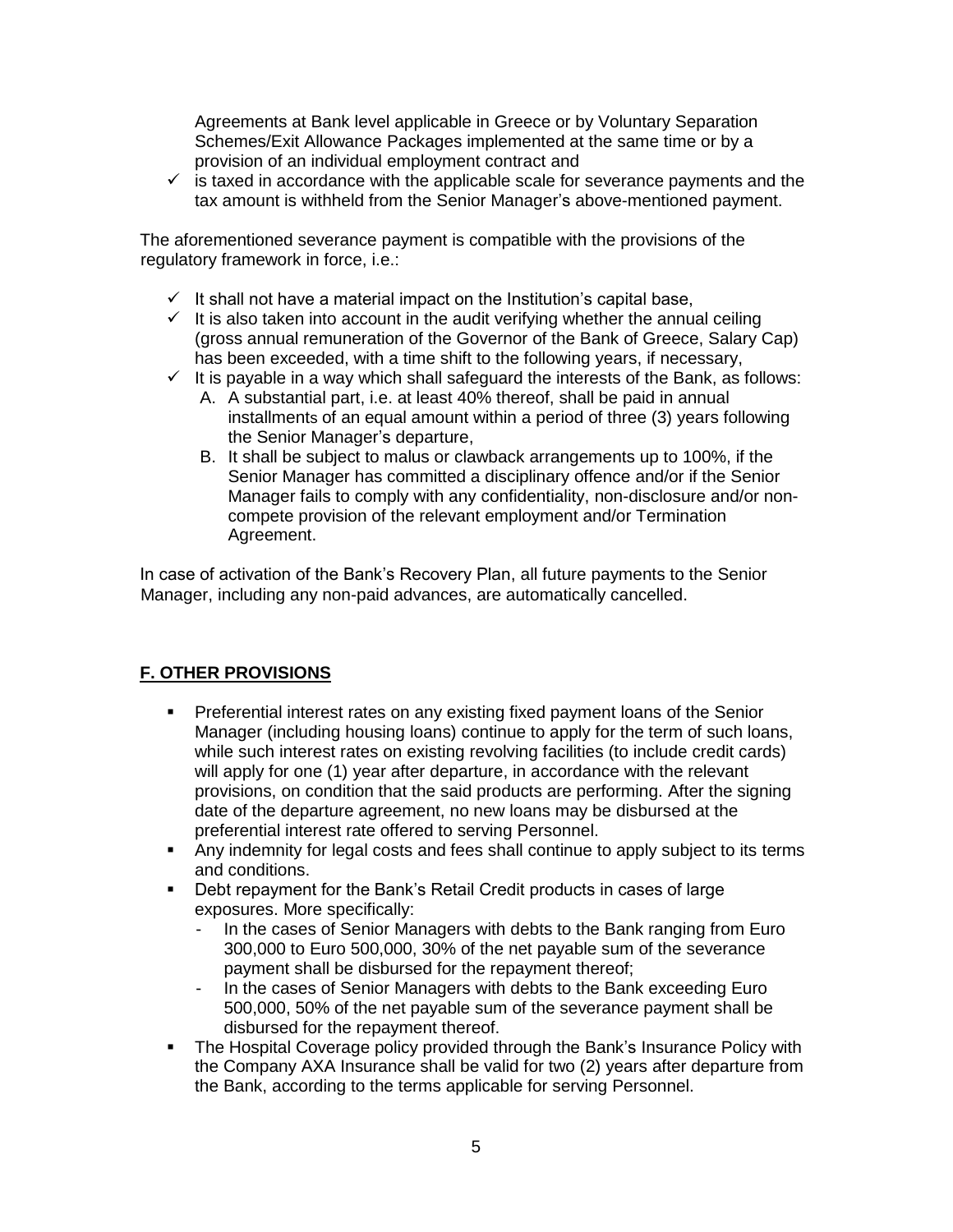Agreements at Bank level applicable in Greece or by Voluntary Separation Schemes/Exit Allowance Packages implemented at the same time or by a provision of an individual employment contract and

 $\checkmark$  is taxed in accordance with the applicable scale for severance payments and the tax amount is withheld from the Senior Manager's above-mentioned payment.

The aforementioned severance payment is compatible with the provisions of the regulatory framework in force, i.e.:

- $\checkmark$  It shall not have a material impact on the Institution's capital base,
- $\checkmark$  It is also taken into account in the audit verifying whether the annual ceiling (gross annual remuneration of the Governor of the Bank of Greece, Salary Cap) has been exceeded, with a time shift to the following years, if necessary,
- $\checkmark$  It is payable in a way which shall safeguard the interests of the Bank, as follows:
	- A. A substantial part, i.e. at least 40% thereof, shall be paid in annual installments of an equal amount within a period of three (3) years following the Senior Manager's departure,
	- B. It shall be subject to malus or clawback arrangements up to 100%, if the Senior Manager has committed a disciplinary offence and/or if the Senior Manager fails to comply with any confidentiality, non-disclosure and/or noncompete provision of the relevant employment and/or Termination Agreement.

In case of activation of the Bank's Recovery Plan, all future payments to the Senior Manager, including any non-paid advances, are automatically cancelled.

## **F. OTHER PROVISIONS**

- Preferential interest rates on any existing fixed payment loans of the Senior Manager (including housing loans) continue to apply for the term of such loans, while such interest rates on existing revolving facilities (to include credit cards) will apply for one (1) year after departure, in accordance with the relevant provisions, on condition that the said products are performing. After the signing date of the departure agreement, no new loans may be disbursed at the preferential interest rate offered to serving Personnel.
- Any indemnity for legal costs and fees shall continue to apply subject to its terms and conditions.
- Debt repayment for the Bank's Retail Credit products in cases of large exposures. More specifically:
	- In the cases of Senior Managers with debts to the Bank ranging from Euro 300,000 to Euro 500,000, 30% of the net payable sum of the severance payment shall be disbursed for the repayment thereof;
	- In the cases of Senior Managers with debts to the Bank exceeding Euro 500,000, 50% of the net payable sum of the severance payment shall be disbursed for the repayment thereof.
- The Hospital Coverage policy provided through the Bank's Insurance Policy with the Company AXA Insurance shall be valid for two (2) years after departure from the Bank, according to the terms applicable for serving Personnel.